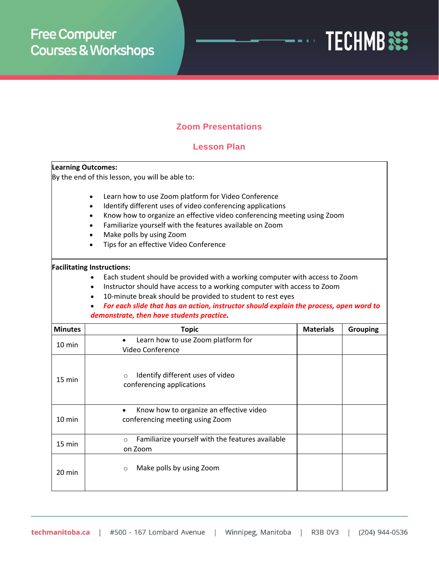

## **Zoom Presentations**

## **Lesson Plan**

| <b>Learning Outcomes:</b> |                                                                                                                                                                                                                                                                                                                                                                                                                            |                  |                 |
|---------------------------|----------------------------------------------------------------------------------------------------------------------------------------------------------------------------------------------------------------------------------------------------------------------------------------------------------------------------------------------------------------------------------------------------------------------------|------------------|-----------------|
|                           | By the end of this lesson, you will be able to:                                                                                                                                                                                                                                                                                                                                                                            |                  |                 |
|                           | Learn how to use Zoom platform for Video Conference<br>Identify different uses of video conferencing applications<br>Know how to organize an effective video conferencing meeting using Zoom<br>Familiarize yourself with the features available on Zoom<br>Make polls by using Zoom<br>Tips for an effective Video Conference                                                                                             |                  |                 |
|                           | <b>Facilitating Instructions:</b><br>Each student should be provided with a working computer with access to Zoom<br>Instructor should have access to a working computer with access to Zoom<br>$\bullet$<br>10-minute break should be provided to student to rest eyes<br>$\bullet$<br>For each slide that has an action, instructor should explain the process, open word to<br>demonstrate, then have students practice. |                  |                 |
| <b>Minutes</b>            | <b>Topic</b>                                                                                                                                                                                                                                                                                                                                                                                                               | <b>Materials</b> | <b>Grouping</b> |
| $10 \text{ min}$          | Learn how to use Zoom platform for<br>Video Conference                                                                                                                                                                                                                                                                                                                                                                     |                  |                 |
| 15 min                    | Identify different uses of video<br>$\circ$<br>conferencing applications                                                                                                                                                                                                                                                                                                                                                   |                  |                 |
| $10 \text{ min}$          | Know how to organize an effective video<br>$\bullet$<br>conferencing meeting using Zoom                                                                                                                                                                                                                                                                                                                                    |                  |                 |
| 15 min                    | Familiarize yourself with the features available<br>$\circ$<br>on Zoom                                                                                                                                                                                                                                                                                                                                                     |                  |                 |
| $20 \text{ min}$          | Make polls by using Zoom<br>$\circ$                                                                                                                                                                                                                                                                                                                                                                                        |                  |                 |